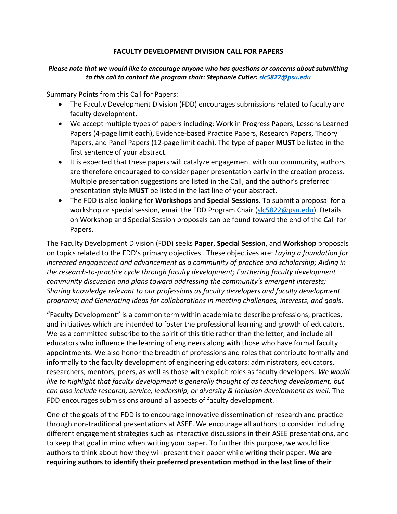#### **FACULTY DEVELOPMENT DIVISION CALL FOR PAPERS**

#### *Please note that we would like to encourage anyone who has questions or concerns about submitting to this call to contact the program chair: Stephanie Cutler[: slc5822@psu.edu](mailto:slc5822@psu.edu)*

Summary Points from this Call for Papers:

- The Faculty Development Division (FDD) encourages submissions related to faculty and faculty development.
- We accept multiple types of papers including: Work in Progress Papers, Lessons Learned Papers (4-page limit each), Evidence-based Practice Papers, Research Papers, Theory Papers, and Panel Papers (12-page limit each). The type of paper **MUST** be listed in the first sentence of your abstract.
- It is expected that these papers will catalyze engagement with our community, authors are therefore encouraged to consider paper presentation early in the creation process. Multiple presentation suggestions are listed in the Call, and the author's preferred presentation style **MUST** be listed in the last line of your abstract.
- The FDD is also looking for **Workshops** and **Special Sessions**. To submit a proposal for a workshop or special session, email the FDD Program Chair [\(slc5822@psu.edu\)](mailto:slc5822@psu.edu). Details on Workshop and Special Session proposals can be found toward the end of the Call for Papers.

The Faculty Development Division (FDD) seeks **Paper**, **Special Session**, and **Workshop** proposals on topics related to the FDD's primary objectives. These objectives are: *Laying a foundation for increased engagement and advancement as a community of practice and scholarship; Aiding in the research-to-practice cycle through faculty development; Furthering faculty development community discussion and plans toward addressing the community's emergent interests; Sharing knowledge relevant to our professions as faculty developers and faculty development programs; and Generating ideas for collaborations in meeting challenges, interests, and goals*.

"Faculty Development" is a common term within academia to describe professions, practices, and initiatives which are intended to foster the professional learning and growth of educators. We as a committee subscribe to the spirit of this title rather than the letter, and include all educators who influence the learning of engineers along with those who have formal faculty appointments. We also honor the breadth of professions and roles that contribute formally and informally to the faculty development of engineering educators: administrators, educators, researchers, mentors, peers, as well as those with explicit roles as faculty developers. *We would*  like to highlight that faculty development is generally thought of as teaching development, but *can also include research, service, leadership, or diversity & inclusion development as well.* The FDD encourages submissions around all aspects of faculty development.

One of the goals of the FDD is to encourage innovative dissemination of research and practice through non-traditional presentations at ASEE. We encourage all authors to consider including different engagement strategies such as interactive discussions in their ASEE presentations, and to keep that goal in mind when writing your paper. To further this purpose, we would like authors to think about how they will present their paper while writing their paper. **We are requiring authors to identify their preferred presentation method in the last line of their**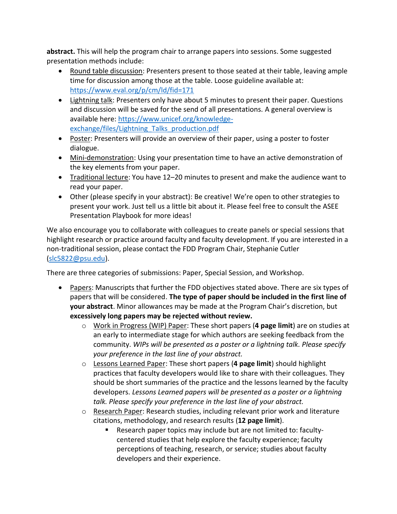**abstract.** This will help the program chair to arrange papers into sessions. Some suggested presentation methods include:

- Round table discussion: Presenters present to those seated at their table, leaving ample time for discussion among those at the table. Loose guideline available at: <https://www.eval.org/p/cm/ld/fid=171>
- Lightning talk: Presenters only have about 5 minutes to present their paper. Questions and discussion will be saved for the send of all presentations. A general overview is available here: [https://www.unicef.org/knowledge](https://www.unicef.org/knowledge-exchange/files/Lightning_Talks_production.pdf)[exchange/files/Lightning\\_Talks\\_production.pdf](https://www.unicef.org/knowledge-exchange/files/Lightning_Talks_production.pdf)
- Poster: Presenters will provide an overview of their paper, using a poster to foster dialogue.
- Mini-demonstration: Using your presentation time to have an active demonstration of the key elements from your paper.
- Traditional lecture: You have 12–20 minutes to present and make the audience want to read your paper.
- Other (please specify in your abstract): Be creative! We're open to other strategies to present your work. Just tell us a little bit about it. Please feel free to consult the ASEE Presentation Playbook for more ideas!

We also encourage you to collaborate with colleagues to create panels or special sessions that highlight research or practice around faculty and faculty development. If you are interested in a non-traditional session, please contact the FDD Program Chair, Stephanie Cutler [\(slc5822@psu.edu\)](mailto:slc5822@psu.edu).

There are three categories of submissions: Paper, Special Session, and Workshop.

- Papers: Manuscripts that further the FDD objectives stated above. There are six types of papers that will be considered. **The type of paper should be included in the first line of your abstract**. Minor allowances may be made at the Program Chair's discretion, but **excessively long papers may be rejected without review.**
	- o Work in Progress (WIP) Paper: These short papers (**4 page limit**) are on studies at an early to intermediate stage for which authors are seeking feedback from the community. *WIPs will be presented as a poster or a lightning talk. Please specify your preference in the last line of your abstract.*
	- o Lessons Learned Paper: These short papers (**4 page limit**) should highlight practices that faculty developers would like to share with their colleagues. They should be short summaries of the practice and the lessons learned by the faculty developers. *Lessons Learned papers will be presented as a poster or a lightning talk. Please specify your preference in the last line of your abstract.*
	- o Research Paper: Research studies, including relevant prior work and literature citations, methodology, and research results (**12 page limit**).
		- Research paper topics may include but are not limited to: facultycentered studies that help explore the faculty experience; faculty perceptions of teaching, research, or service; studies about faculty developers and their experience.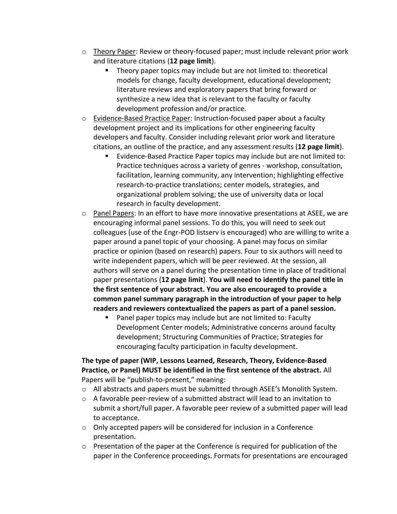- o Theory Paper: Review or theory-focused paper; must include relevant prior work and literature citations (**12 page limit**).
	- Theory paper topics may include but are not limited to: theoretical models for change, faculty development, educational development; literature reviews and exploratory papers that bring forward or synthesize a new idea that is relevant to the faculty or faculty development profession and/or practice.
- o Evidence-Based Practice Paper: Instruction-focused paper about a faculty development project and its implications for other engineering faculty developers and faculty. Consider including relevant prior work and literature citations, an outline of the practice, and any assessment results (**12 page limit**).
	- Evidence-Based Practice Paper topics may include but are not limited to: Practice techniques across a variety of genres - workshop, consultation, facilitation, learning community, any intervention; highlighting effective research-to-practice translations; center models, strategies, and organizational problem solving; the use of university data or local research in faculty development.
- $\circ$  Panel Papers: In an effort to have more innovative presentations at ASEE, we are encouraging informal panel sessions. To do this, you will need to seek out colleagues (use of the Engr-POD listserv is encouraged) who are willing to write a paper around a panel topic of your choosing. A panel may focus on similar practice or opinion (based on research) papers. Four to six authors will need to write independent papers, which will be peer reviewed. At the session, all authors will serve on a panel during the presentation time in place of traditional paper presentations (**12 page limit**). **You will need to identify the panel title in the first sentence of your abstract. You are also encouraged to provide a common panel summary paragraph in the introduction of your paper to help readers and reviewers contextualized the papers as part of a panel session.**
	- Panel paper topics may include but are not limited to: Faculty Development Center models; Administrative concerns around faculty development; Structuring Communities of Practice; Strategies for encouraging faculty participation in faculty development.

## **The type of paper (WIP, Lessons Learned, Research, Theory, Evidence-Based Practice, or Panel) MUST be identified in the first sentence of the abstract.** All Papers will be "publish-to-present," meaning:

- $\circ$  All abstracts and papers must be submitted through ASEE's Monolith System.
- $\circ$  A favorable peer-review of a submitted abstract will lead to an invitation to submit a short/full paper. A favorable peer review of a submitted paper will lead to acceptance.
- o Only accepted papers will be considered for inclusion in a Conference presentation.
- o Presentation of the paper at the Conference is required for publication of the paper in the Conference proceedings. Formats for presentations are encouraged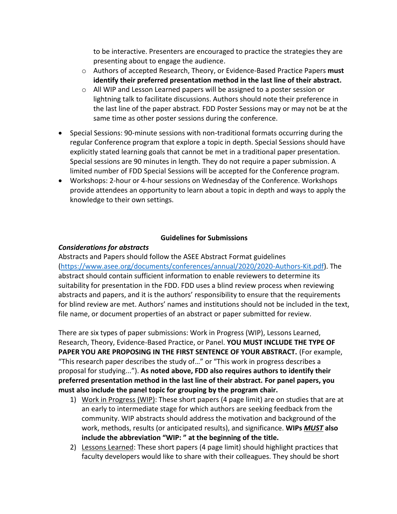to be interactive. Presenters are encouraged to practice the strategies they are presenting about to engage the audience.

- o Authors of accepted Research, Theory, or Evidence-Based Practice Papers **must identify their preferred presentation method in the last line of their abstract.**
- o All WIP and Lesson Learned papers will be assigned to a poster session or lightning talk to facilitate discussions. Authors should note their preference in the last line of the paper abstract*.* FDD Poster Sessions may or may not be at the same time as other poster sessions during the conference.
- Special Sessions: 90-minute sessions with non-traditional formats occurring during the regular Conference program that explore a topic in depth. Special Sessions should have explicitly stated learning goals that cannot be met in a traditional paper presentation. Special sessions are 90 minutes in length. They do not require a paper submission. A limited number of FDD Special Sessions will be accepted for the Conference program.
- Workshops: 2-hour or 4-hour sessions on Wednesday of the Conference. Workshops provide attendees an opportunity to learn about a topic in depth and ways to apply the knowledge to their own settings.

### **Guidelines for Submissions**

### *Considerations for abstracts*

Abstracts and Papers should follow the ASEE Abstract Format guidelines [\(https://www.asee.org/documents/conferences/annual/2020/2020-Authors-Kit.pdf\)](https://www.asee.org/documents/conferences/annual/2020/2020-Authors-Kit.pdf). The abstract should contain sufficient information to enable reviewers to determine its suitability for presentation in the FDD. FDD uses a blind review process when reviewing abstracts and papers, and it is the authors' responsibility to ensure that the requirements for blind review are met. Authors' names and institutions should not be included in the text, file name, or document properties of an abstract or paper submitted for review.

There are six types of paper submissions: Work in Progress (WIP), Lessons Learned, Research, Theory, Evidence-Based Practice, or Panel. **YOU MUST INCLUDE THE TYPE OF PAPER YOU ARE PROPOSING IN THE FIRST SENTENCE OF YOUR ABSTRACT.** (For example, "This research paper describes the study of…" or "This work in progress describes a proposal for studying..."). **As noted above, FDD also requires authors to identify their preferred presentation method in the last line of their abstract. For panel papers, you must also include the panel topic for grouping by the program chair.**

- 1) Work in Progress (WIP): These short papers (4 page limit) are on studies that are at an early to intermediate stage for which authors are seeking feedback from the community. WIP abstracts should address the motivation and background of the work, methods, results (or anticipated results), and significance. **WIPs** *MUST* **also include the abbreviation "WIP: " at the beginning of the title.**
- 2) Lessons Learned: These short papers (4 page limit) should highlight practices that faculty developers would like to share with their colleagues. They should be short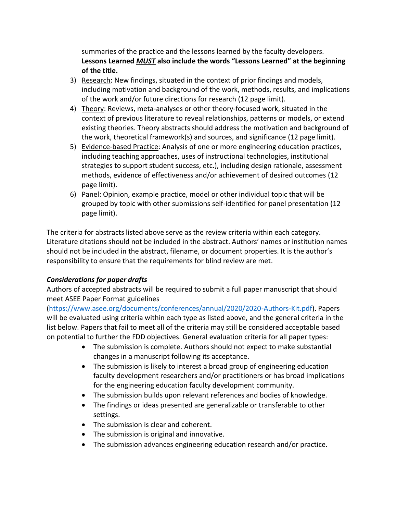summaries of the practice and the lessons learned by the faculty developers. **Lessons Learned** *MUST* **also include the words "Lessons Learned" at the beginning of the title.** 

- 3) Research: New findings, situated in the context of prior findings and models, including motivation and background of the work, methods, results, and implications of the work and/or future directions for research (12 page limit).
- 4) Theory: Reviews, meta-analyses or other theory-focused work, situated in the context of previous literature to reveal relationships, patterns or models, or extend existing theories. Theory abstracts should address the motivation and background of the work, theoretical framework(s) and sources, and significance (12 page limit).
- 5) Evidence-based Practice: Analysis of one or more engineering education practices, including teaching approaches, uses of instructional technologies, institutional strategies to support student success, etc.), including design rationale, assessment methods, evidence of effectiveness and/or achievement of desired outcomes (12 page limit).
- 6) Panel: Opinion, example practice, model or other individual topic that will be grouped by topic with other submissions self-identified for panel presentation (12 page limit).

The criteria for abstracts listed above serve as the review criteria within each category. Literature citations should not be included in the abstract. Authors' names or institution names should not be included in the abstract, filename, or document properties. It is the author's responsibility to ensure that the requirements for blind review are met.

# *Considerations for paper drafts*

Authors of accepted abstracts will be required to submit a full paper manuscript that should meet ASEE Paper Format guidelines

[\(https://www.asee.org/documents/conferences/annual/2020/2020-Authors-Kit.pdf\)](https://www.asee.org/documents/conferences/annual/2020/2020-Authors-Kit.pdf). Papers will be evaluated using criteria within each type as listed above, and the general criteria in the list below. Papers that fail to meet all of the criteria may still be considered acceptable based on potential to further the FDD objectives. General evaluation criteria for all paper types:

- The submission is complete. Authors should not expect to make substantial changes in a manuscript following its acceptance.
- The submission is likely to interest a broad group of engineering education faculty development researchers and/or practitioners or has broad implications for the engineering education faculty development community.
- The submission builds upon relevant references and bodies of knowledge.
- The findings or ideas presented are generalizable or transferable to other settings.
- The submission is clear and coherent.
- The submission is original and innovative.
- The submission advances engineering education research and/or practice.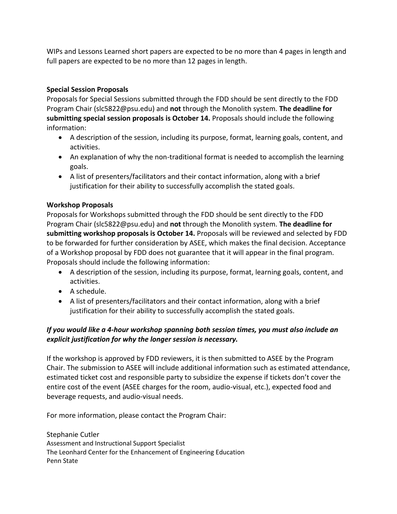WIPs and Lessons Learned short papers are expected to be no more than 4 pages in length and full papers are expected to be no more than 12 pages in length.

# **Special Session Proposals**

Proposals for Special Sessions submitted through the FDD should be sent directly to the FDD Program Chair (slc5822@psu.edu) and **not** through the Monolith system. **The deadline for submitting special session proposals is October 14.** Proposals should include the following information:

- A description of the session, including its purpose, format, learning goals, content, and activities.
- An explanation of why the non-traditional format is needed to accomplish the learning goals.
- A list of presenters/facilitators and their contact information, along with a brief justification for their ability to successfully accomplish the stated goals.

## **Workshop Proposals**

Proposals for Workshops submitted through the FDD should be sent directly to the FDD Program Chair (slc5822@psu.edu) and **not** through the Monolith system. **The deadline for submitting workshop proposals is October 14.** Proposals will be reviewed and selected by FDD to be forwarded for further consideration by ASEE, which makes the final decision. Acceptance of a Workshop proposal by FDD does not guarantee that it will appear in the final program. Proposals should include the following information:

- A description of the session, including its purpose, format, learning goals, content, and activities.
- $\bullet$  A schedule.
- A list of presenters/facilitators and their contact information, along with a brief justification for their ability to successfully accomplish the stated goals.

## *If you would like a 4-hour workshop spanning both session times, you must also include an explicit justification for why the longer session is necessary.*

If the workshop is approved by FDD reviewers, it is then submitted to ASEE by the Program Chair. The submission to ASEE will include additional information such as estimated attendance, estimated ticket cost and responsible party to subsidize the expense if tickets don't cover the entire cost of the event (ASEE charges for the room, audio-visual, etc.), expected food and beverage requests, and audio-visual needs.

For more information, please contact the Program Chair:

Stephanie Cutler Assessment and Instructional Support Specialist The Leonhard Center for the Enhancement of Engineering Education Penn State